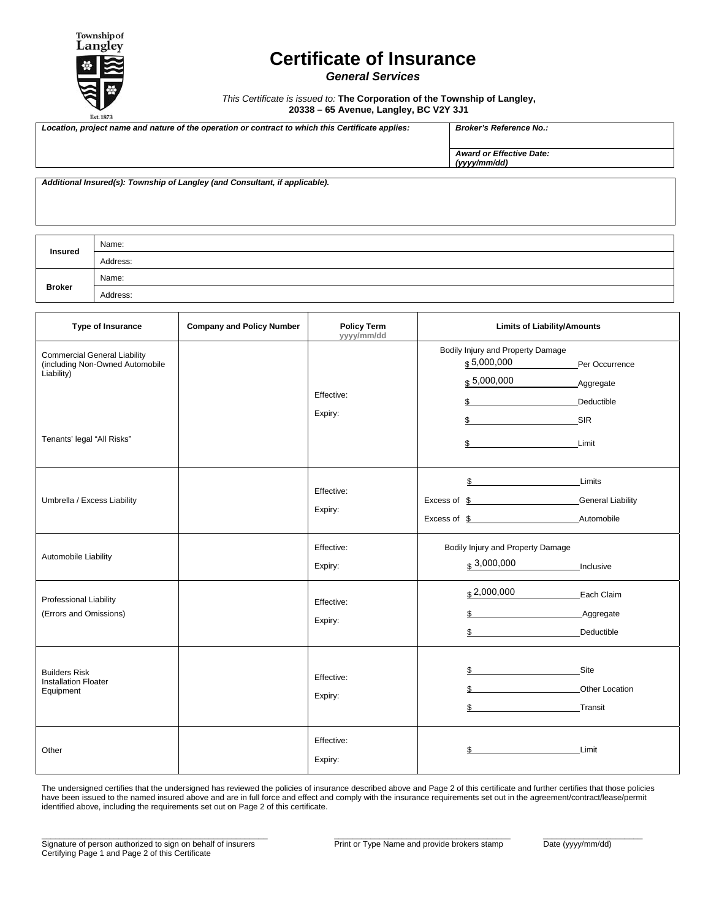5,000,000 5,000,000

3,000,000

2,000,000